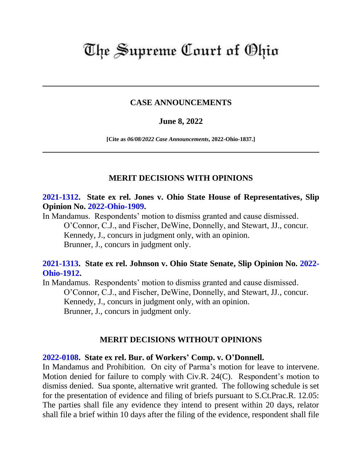# The Supreme Court of Ohio

# **CASE ANNOUNCEMENTS**

## **June 8, 2022**

**[Cite as** *06/08/2022 Case Announcements***, 2022-Ohio-1837.]**

# **MERIT DECISIONS WITH OPINIONS**

## **[2021-1312.](https://www.supremecourt.ohio.gov/Clerk/ecms/#/caseinfo/2021/1312) State ex rel. Jones v. Ohio State House of Representatives, Slip Opinion No. [2022-Ohio-1909.](https://www.supremecourt.ohio.gov/rod/docs/pdf/0/2022/2022-Ohio-1909.pdf)**

In Mandamus. Respondents' motion to dismiss granted and cause dismissed. O'Connor, C.J., and Fischer, DeWine, Donnelly, and Stewart, JJ., concur. Kennedy, J., concurs in judgment only, with an opinion. Brunner, J., concurs in judgment only.

# **[2021-1313.](https://www.supremecourt.ohio.gov/Clerk/ecms/#/caseinfo/2021/1313) State ex rel. Johnson v. Ohio State Senate, Slip Opinion No. [2022-](https://www.supremecourt.ohio.gov/rod/docs/pdf/0/2022/2022-Ohio-1912.pdf) [Ohio-1912.](https://www.supremecourt.ohio.gov/rod/docs/pdf/0/2022/2022-Ohio-1912.pdf)**

In Mandamus. Respondents' motion to dismiss granted and cause dismissed. O'Connor, C.J., and Fischer, DeWine, Donnelly, and Stewart, JJ., concur. Kennedy, J., concurs in judgment only, with an opinion. Brunner, J., concurs in judgment only.

## **MERIT DECISIONS WITHOUT OPINIONS**

## **[2022-0108.](https://www.supremecourt.ohio.gov/Clerk/ecms/#/caseinfo/2022/0108) State ex rel. Bur. of Workers' Comp. v. O'Donnell.**

In Mandamus and Prohibition. On city of Parma's motion for leave to intervene. Motion denied for failure to comply with Civ.R. 24(C). Respondent's motion to dismiss denied. Sua sponte, alternative writ granted. The following schedule is set for the presentation of evidence and filing of briefs pursuant to S.Ct.Prac.R. 12.05: The parties shall file any evidence they intend to present within 20 days, relator shall file a brief within 10 days after the filing of the evidence, respondent shall file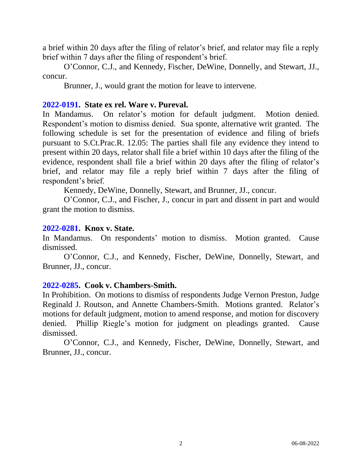a brief within 20 days after the filing of relator's brief, and relator may file a reply brief within 7 days after the filing of respondent's brief.

O'Connor, C.J., and Kennedy, Fischer, DeWine, Donnelly, and Stewart, JJ., concur.

Brunner, J., would grant the motion for leave to intervene.

## **[2022-0191.](https://www.supremecourt.ohio.gov/Clerk/ecms/#/caseinfo/2022/0191) State ex rel. Ware v. Pureval.**

In Mandamus. On relator's motion for default judgment. Motion denied. Respondent's motion to dismiss denied. Sua sponte, alternative writ granted. The following schedule is set for the presentation of evidence and filing of briefs pursuant to S.Ct.Prac.R. 12.05: The parties shall file any evidence they intend to present within 20 days, relator shall file a brief within 10 days after the filing of the evidence, respondent shall file a brief within 20 days after the filing of relator's brief, and relator may file a reply brief within 7 days after the filing of respondent's brief.

Kennedy, DeWine, Donnelly, Stewart, and Brunner, JJ., concur.

O'Connor, C.J., and Fischer, J., concur in part and dissent in part and would grant the motion to dismiss.

## **[2022-0281.](https://www.supremecourt.ohio.gov/Clerk/ecms/#/caseinfo/2022/0281) Knox v. State.**

In Mandamus. On respondents' motion to dismiss. Motion granted. Cause dismissed.

O'Connor, C.J., and Kennedy, Fischer, DeWine, Donnelly, Stewart, and Brunner, JJ., concur.

# **[2022-0285.](https://www.supremecourt.ohio.gov/Clerk/ecms/#/caseinfo/2022/0285) Cook v. Chambers-Smith.**

In Prohibition. On motions to dismiss of respondents Judge Vernon Preston, Judge Reginald J. Routson, and Annette Chambers-Smith. Motions granted. Relator's motions for default judgment, motion to amend response, and motion for discovery denied. Phillip Riegle's motion for judgment on pleadings granted. Cause dismissed.

O'Connor, C.J., and Kennedy, Fischer, DeWine, Donnelly, Stewart, and Brunner, JJ., concur.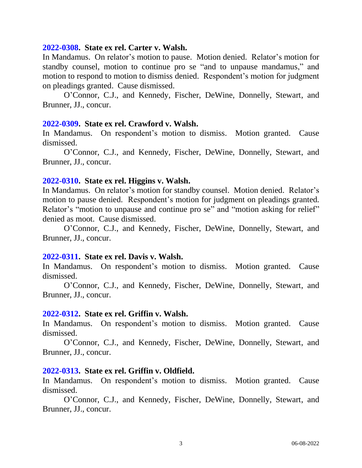#### **[2022-0308.](https://www.supremecourt.ohio.gov/Clerk/ecms/#/caseinfo/2022/0308) State ex rel. Carter v. Walsh.**

In Mandamus. On relator's motion to pause. Motion denied. Relator's motion for standby counsel, motion to continue pro se "and to unpause mandamus," and motion to respond to motion to dismiss denied. Respondent's motion for judgment on pleadings granted. Cause dismissed.

O'Connor, C.J., and Kennedy, Fischer, DeWine, Donnelly, Stewart, and Brunner, JJ., concur.

#### **[2022-0309.](https://www.supremecourt.ohio.gov/Clerk/ecms/#/caseinfo/2022/0309) State ex rel. Crawford v. Walsh.**

In Mandamus. On respondent's motion to dismiss. Motion granted. Cause dismissed.

O'Connor, C.J., and Kennedy, Fischer, DeWine, Donnelly, Stewart, and Brunner, JJ., concur.

#### **[2022-0310.](https://www.supremecourt.ohio.gov/Clerk/ecms/#/caseinfo/2022/0310) State ex rel. Higgins v. Walsh.**

In Mandamus. On relator's motion for standby counsel. Motion denied. Relator's motion to pause denied. Respondent's motion for judgment on pleadings granted. Relator's "motion to unpause and continue pro se" and "motion asking for relief" denied as moot. Cause dismissed.

O'Connor, C.J., and Kennedy, Fischer, DeWine, Donnelly, Stewart, and Brunner, JJ., concur.

## **[2022-0311.](https://www.supremecourt.ohio.gov/Clerk/ecms/#/caseinfo/2022/0311) State ex rel. Davis v. Walsh.**

In Mandamus. On respondent's motion to dismiss. Motion granted. Cause dismissed.

O'Connor, C.J., and Kennedy, Fischer, DeWine, Donnelly, Stewart, and Brunner, JJ., concur.

#### **[2022-0312.](https://www.supremecourt.ohio.gov/Clerk/ecms/#/caseinfo/2022/0312) State ex rel. Griffin v. Walsh.**

In Mandamus. On respondent's motion to dismiss. Motion granted. Cause dismissed.

O'Connor, C.J., and Kennedy, Fischer, DeWine, Donnelly, Stewart, and Brunner, JJ., concur.

## **[2022-0313.](https://www.supremecourt.ohio.gov/Clerk/ecms/#/caseinfo/2022/0313) State ex rel. Griffin v. Oldfield.**

In Mandamus. On respondent's motion to dismiss. Motion granted. Cause dismissed.

O'Connor, C.J., and Kennedy, Fischer, DeWine, Donnelly, Stewart, and Brunner, JJ., concur.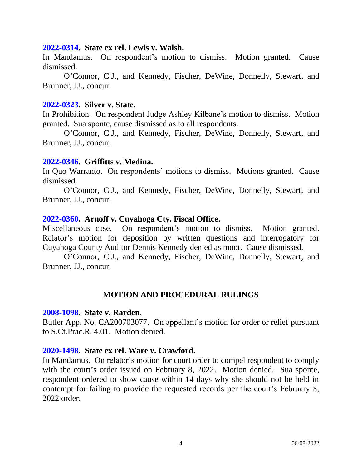#### **[2022-0314.](https://www.supremecourt.ohio.gov/Clerk/ecms/#/caseinfo/2022/0314) State ex rel. Lewis v. Walsh.**

In Mandamus. On respondent's motion to dismiss. Motion granted. Cause dismissed.

O'Connor, C.J., and Kennedy, Fischer, DeWine, Donnelly, Stewart, and Brunner, JJ., concur.

#### **[2022-0323.](https://www.supremecourt.ohio.gov/Clerk/ecms/#/caseinfo/2022/0323) Silver v. State.**

In Prohibition. On respondent Judge Ashley Kilbane's motion to dismiss. Motion granted. Sua sponte, cause dismissed as to all respondents.

O'Connor, C.J., and Kennedy, Fischer, DeWine, Donnelly, Stewart, and Brunner, JJ., concur.

#### **[2022-0346.](https://www.supremecourt.ohio.gov/Clerk/ecms/#/caseinfo/2022/0346) Griffitts v. Medina.**

In Quo Warranto. On respondents' motions to dismiss. Motions granted. Cause dismissed.

O'Connor, C.J., and Kennedy, Fischer, DeWine, Donnelly, Stewart, and Brunner, JJ., concur.

#### **[2022-0360.](https://www.supremecourt.ohio.gov/Clerk/ecms/#/caseinfo/2022/0360) Arnoff v. Cuyahoga Cty. Fiscal Office.**

Miscellaneous case. On respondent's motion to dismiss. Motion granted. Relator's motion for deposition by written questions and interrogatory for Cuyahoga County Auditor Dennis Kennedy denied as moot. Cause dismissed.

O'Connor, C.J., and Kennedy, Fischer, DeWine, Donnelly, Stewart, and Brunner, JJ., concur.

## **MOTION AND PROCEDURAL RULINGS**

#### **[2008-1098.](https://www.supremecourt.ohio.gov/Clerk/ecms/#/caseinfo/2008/1098) State v. Rarden.**

Butler App. No. CA200703077. On appellant's motion for order or relief pursuant to S.Ct.Prac.R. 4.01. Motion denied.

## **[2020-1498.](https://www.supremecourt.ohio.gov/Clerk/ecms/#/caseinfo/2020/1498) State ex rel. Ware v. Crawford.**

In Mandamus. On relator's motion for court order to compel respondent to comply with the court's order issued on February 8, 2022. Motion denied. Sua sponte, respondent ordered to show cause within 14 days why she should not be held in contempt for failing to provide the requested records per the court's February 8, 2022 order.